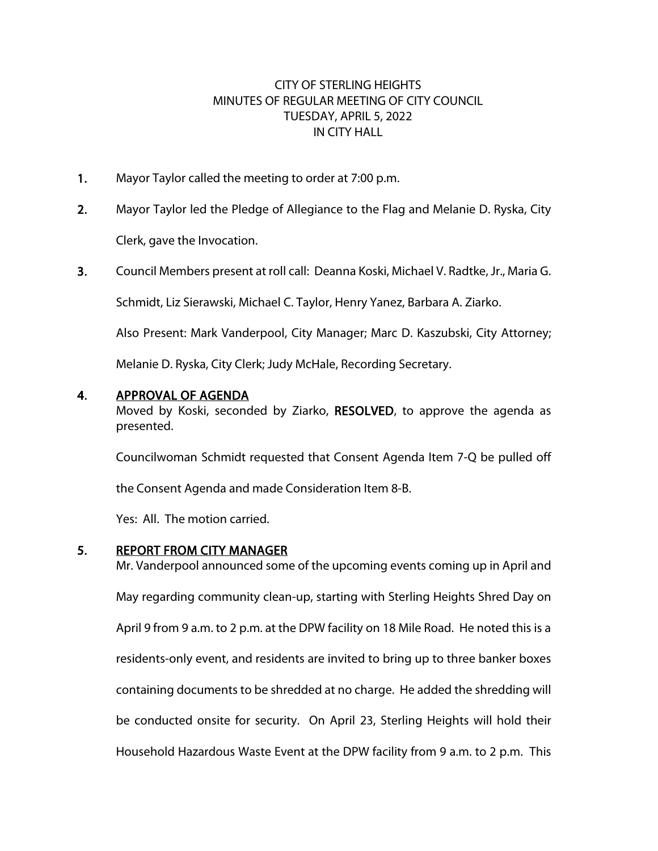## CITY OF STERLING HEIGHTS MINUTES OF REGULAR MEETING OF CITY COUNCIL TUESDAY, APRIL 5, 2022 IN CITY HALL

- 1. Mayor Taylor called the meeting to order at 7:00 p.m.
- 2. Mayor Taylor led the Pledge of Allegiance to the Flag and Melanie D. Ryska, City Clerk, gave the Invocation.
- 3. Council Members present at roll call: Deanna Koski, Michael V. Radtke, Jr., Maria G.

Schmidt, Liz Sierawski, Michael C. Taylor, Henry Yanez, Barbara A. Ziarko.

Also Present: Mark Vanderpool, City Manager; Marc D. Kaszubski, City Attorney;

Melanie D. Ryska, City Clerk; Judy McHale, Recording Secretary.

#### 4. APPROVAL OF AGENDA

Moved by Koski, seconded by Ziarko, RESOLVED, to approve the agenda as presented.

Councilwoman Schmidt requested that Consent Agenda Item 7-Q be pulled off

the Consent Agenda and made Consideration Item 8-B.

Yes: All. The motion carried.

#### 5. REPORT FROM CITY MANAGER

Mr. Vanderpool announced some of the upcoming events coming up in April and May regarding community clean-up, starting with Sterling Heights Shred Day on April 9 from 9 a.m. to 2 p.m. at the DPW facility on 18 Mile Road. He noted this is a residents-only event, and residents are invited to bring up to three banker boxes containing documents to be shredded at no charge. He added the shredding will be conducted onsite for security. On April 23, Sterling Heights will hold their Household Hazardous Waste Event at the DPW facility from 9 a.m. to 2 p.m. This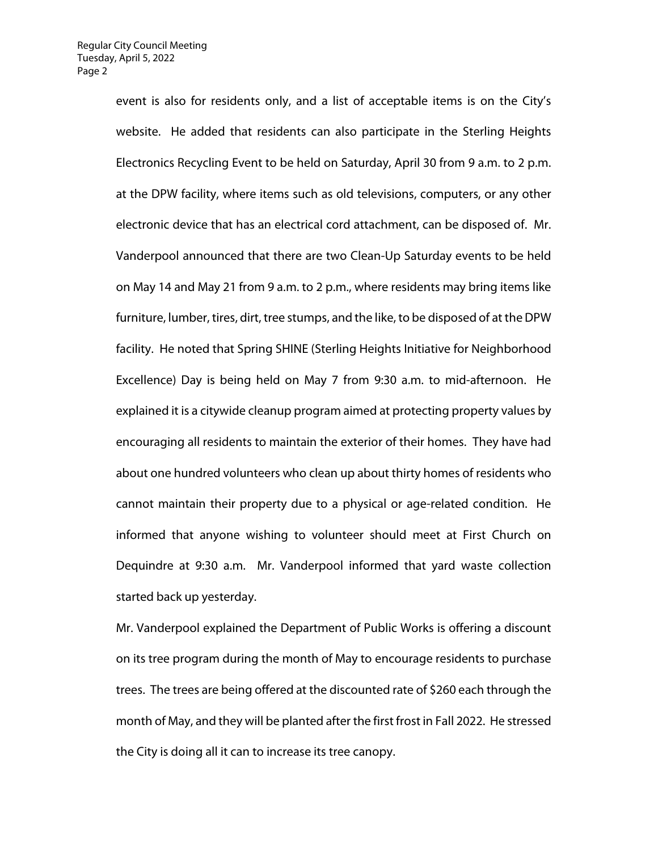event is also for residents only, and a list of acceptable items is on the City's website. He added that residents can also participate in the Sterling Heights Electronics Recycling Event to be held on Saturday, April 30 from 9 a.m. to 2 p.m. at the DPW facility, where items such as old televisions, computers, or any other electronic device that has an electrical cord attachment, can be disposed of. Mr. Vanderpool announced that there are two Clean-Up Saturday events to be held on May 14 and May 21 from 9 a.m. to 2 p.m., where residents may bring items like furniture, lumber, tires, dirt, tree stumps, and the like, to be disposed of at the DPW facility. He noted that Spring SHINE (Sterling Heights Initiative for Neighborhood Excellence) Day is being held on May 7 from 9:30 a.m. to mid-afternoon. He explained it is a citywide cleanup program aimed at protecting property values by encouraging all residents to maintain the exterior of their homes. They have had about one hundred volunteers who clean up about thirty homes of residents who cannot maintain their property due to a physical or age-related condition. He informed that anyone wishing to volunteer should meet at First Church on Dequindre at 9:30 a.m. Mr. Vanderpool informed that yard waste collection started back up yesterday.

Mr. Vanderpool explained the Department of Public Works is offering a discount on its tree program during the month of May to encourage residents to purchase trees. The trees are being offered at the discounted rate of \$260 each through the month of May, and they will be planted after the first frost in Fall 2022. He stressed the City is doing all it can to increase its tree canopy.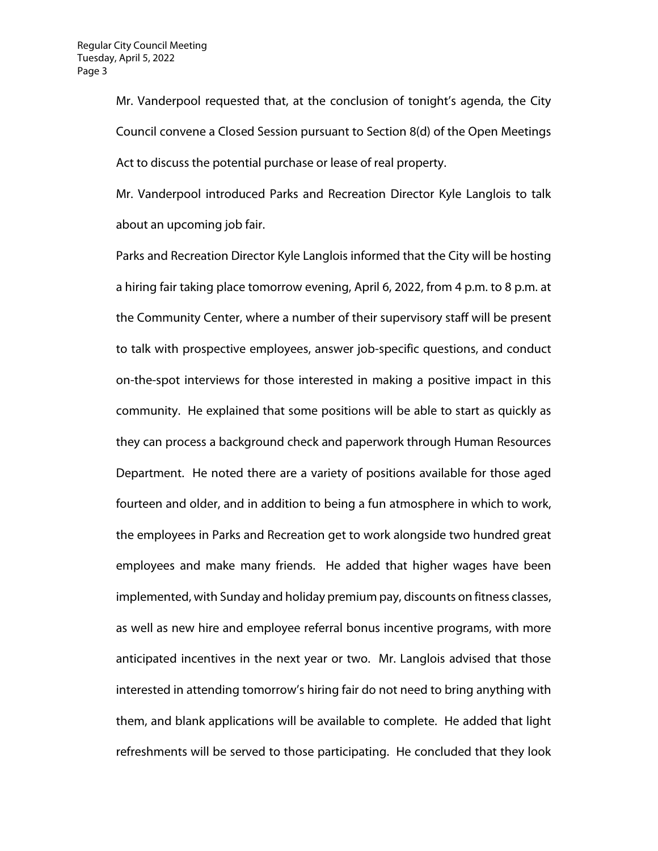Mr. Vanderpool requested that, at the conclusion of tonight's agenda, the City Council convene a Closed Session pursuant to Section 8(d) of the Open Meetings Act to discuss the potential purchase or lease of real property.

Mr. Vanderpool introduced Parks and Recreation Director Kyle Langlois to talk about an upcoming job fair.

Parks and Recreation Director Kyle Langlois informed that the City will be hosting a hiring fair taking place tomorrow evening, April 6, 2022, from 4 p.m. to 8 p.m. at the Community Center, where a number of their supervisory staff will be present to talk with prospective employees, answer job-specific questions, and conduct on-the-spot interviews for those interested in making a positive impact in this community. He explained that some positions will be able to start as quickly as they can process a background check and paperwork through Human Resources Department. He noted there are a variety of positions available for those aged fourteen and older, and in addition to being a fun atmosphere in which to work, the employees in Parks and Recreation get to work alongside two hundred great employees and make many friends. He added that higher wages have been implemented, with Sunday and holiday premium pay, discounts on fitness classes, as well as new hire and employee referral bonus incentive programs, with more anticipated incentives in the next year or two. Mr. Langlois advised that those interested in attending tomorrow's hiring fair do not need to bring anything with them, and blank applications will be available to complete. He added that light refreshments will be served to those participating. He concluded that they look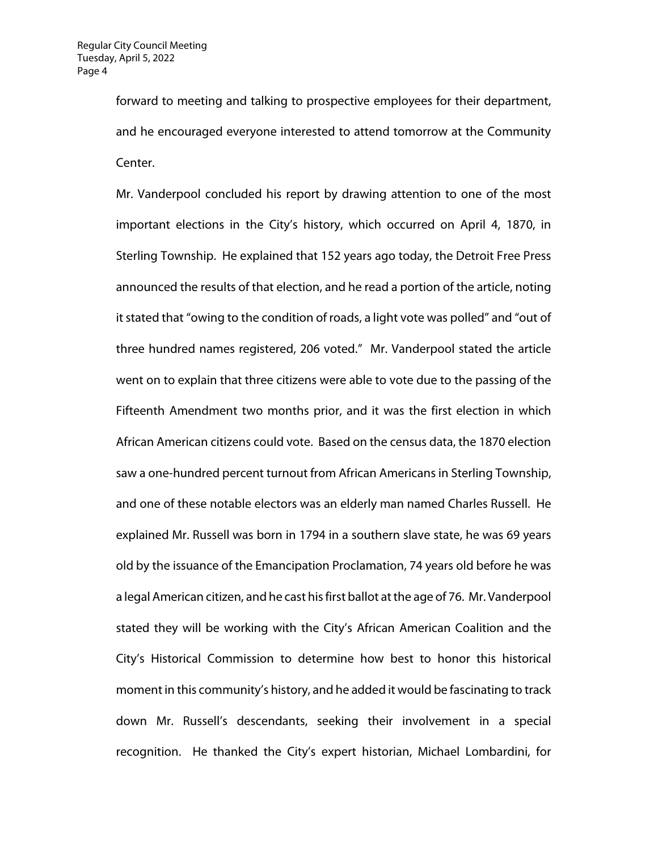forward to meeting and talking to prospective employees for their department, and he encouraged everyone interested to attend tomorrow at the Community Center.

Mr. Vanderpool concluded his report by drawing attention to one of the most important elections in the City's history, which occurred on April 4, 1870, in Sterling Township. He explained that 152 years ago today, the Detroit Free Press announced the results of that election, and he read a portion of the article, noting it stated that "owing to the condition of roads, a light vote was polled" and "out of three hundred names registered, 206 voted." Mr. Vanderpool stated the article went on to explain that three citizens were able to vote due to the passing of the Fifteenth Amendment two months prior, and it was the first election in which African American citizens could vote. Based on the census data, the 1870 election saw a one-hundred percent turnout from African Americans in Sterling Township, and one of these notable electors was an elderly man named Charles Russell. He explained Mr. Russell was born in 1794 in a southern slave state, he was 69 years old by the issuance of the Emancipation Proclamation, 74 years old before he was a legal American citizen, and he cast his first ballot at the age of 76. Mr. Vanderpool stated they will be working with the City's African American Coalition and the City's Historical Commission to determine how best to honor this historical moment in this community's history, and he added it would be fascinating to track down Mr. Russell's descendants, seeking their involvement in a special recognition. He thanked the City's expert historian, Michael Lombardini, for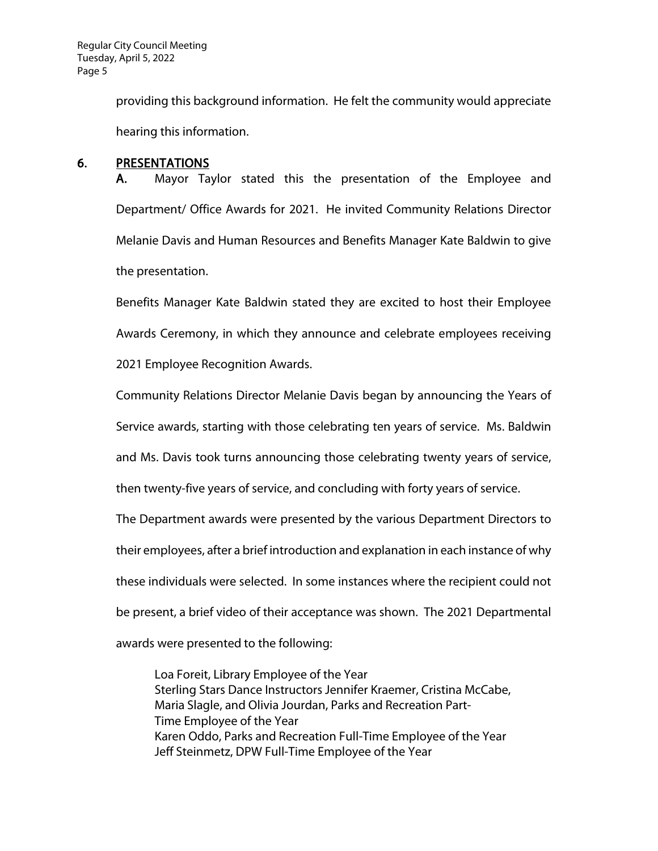providing this background information. He felt the community would appreciate hearing this information.

### 6. PRESENTATIONS

A. Mayor Taylor stated this the presentation of the Employee and Department/ Office Awards for 2021. He invited Community Relations Director Melanie Davis and Human Resources and Benefits Manager Kate Baldwin to give the presentation.

Benefits Manager Kate Baldwin stated they are excited to host their Employee Awards Ceremony, in which they announce and celebrate employees receiving 2021 Employee Recognition Awards.

Community Relations Director Melanie Davis began by announcing the Years of Service awards, starting with those celebrating ten years of service. Ms. Baldwin

and Ms. Davis took turns announcing those celebrating twenty years of service,

then twenty-five years of service, and concluding with forty years of service.

The Department awards were presented by the various Department Directors to their employees, after a brief introduction and explanation in each instance of why these individuals were selected. In some instances where the recipient could not be present, a brief video of their acceptance was shown. The 2021 Departmental

awards were presented to the following:

Loa Foreit, Library Employee of the Year Sterling Stars Dance Instructors Jennifer Kraemer, Cristina McCabe, Maria Slagle, and Olivia Jourdan, Parks and Recreation Part-Time Employee of the Year Karen Oddo, Parks and Recreation Full-Time Employee of the Year Jeff Steinmetz, DPW Full-Time Employee of the Year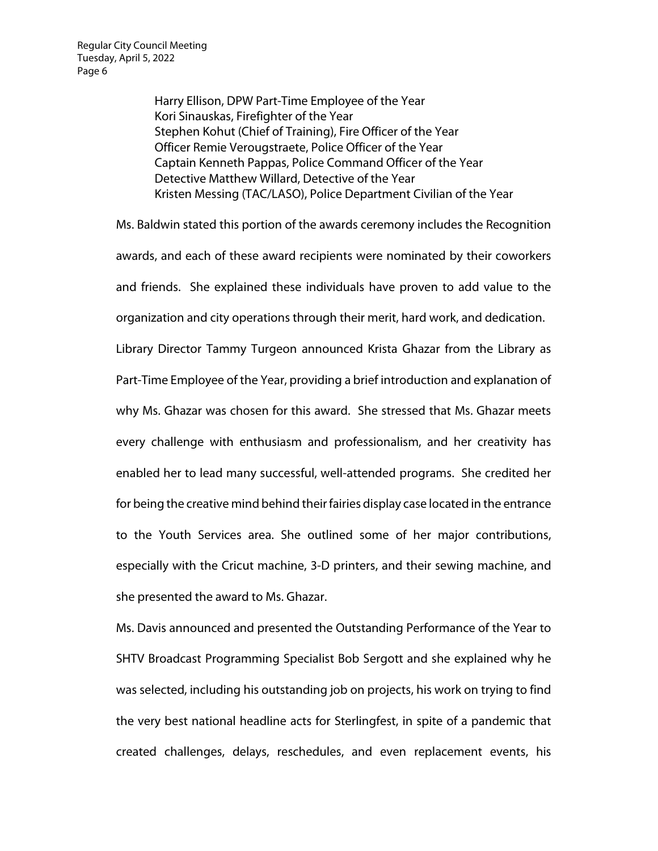Harry Ellison, DPW Part-Time Employee of the Year Kori Sinauskas, Firefighter of the Year Stephen Kohut (Chief of Training), Fire Officer of the Year Officer Remie Verougstraete, Police Officer of the Year Captain Kenneth Pappas, Police Command Officer of the Year Detective Matthew Willard, Detective of the Year Kristen Messing (TAC/LASO), Police Department Civilian of the Year

Ms. Baldwin stated this portion of the awards ceremony includes the Recognition awards, and each of these award recipients were nominated by their coworkers and friends. She explained these individuals have proven to add value to the organization and city operations through their merit, hard work, and dedication. Library Director Tammy Turgeon announced Krista Ghazar from the Library as Part-Time Employee of the Year, providing a brief introduction and explanation of why Ms. Ghazar was chosen for this award. She stressed that Ms. Ghazar meets every challenge with enthusiasm and professionalism, and her creativity has enabled her to lead many successful, well-attended programs. She credited her for being the creative mind behind their fairies display case located in the entrance to the Youth Services area. She outlined some of her major contributions, especially with the Cricut machine, 3-D printers, and their sewing machine, and she presented the award to Ms. Ghazar.

Ms. Davis announced and presented the Outstanding Performance of the Year to SHTV Broadcast Programming Specialist Bob Sergott and she explained why he was selected, including his outstanding job on projects, his work on trying to find the very best national headline acts for Sterlingfest, in spite of a pandemic that created challenges, delays, reschedules, and even replacement events, his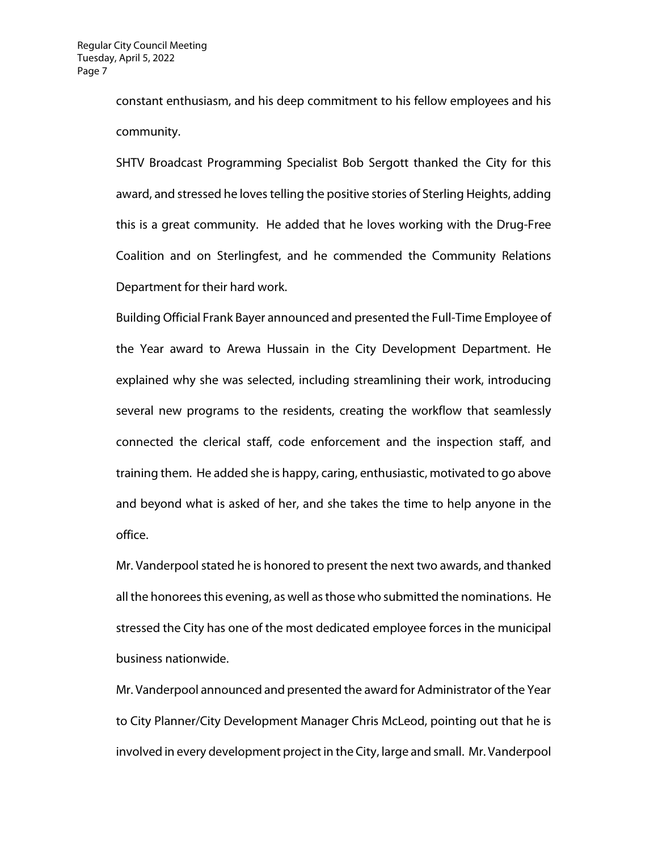constant enthusiasm, and his deep commitment to his fellow employees and his community.

SHTV Broadcast Programming Specialist Bob Sergott thanked the City for this award, and stressed he loves telling the positive stories of Sterling Heights, adding this is a great community. He added that he loves working with the Drug-Free Coalition and on Sterlingfest, and he commended the Community Relations Department for their hard work.

Building Official Frank Bayer announced and presented the Full-Time Employee of the Year award to Arewa Hussain in the City Development Department. He explained why she was selected, including streamlining their work, introducing several new programs to the residents, creating the workflow that seamlessly connected the clerical staff, code enforcement and the inspection staff, and training them. He added she is happy, caring, enthusiastic, motivated to go above and beyond what is asked of her, and she takes the time to help anyone in the office.

Mr. Vanderpool stated he is honored to present the next two awards, and thanked all the honorees this evening, as well as those who submitted the nominations. He stressed the City has one of the most dedicated employee forces in the municipal business nationwide.

Mr. Vanderpool announced and presented the award for Administrator of the Year to City Planner/City Development Manager Chris McLeod, pointing out that he is involved in every development project in the City, large and small. Mr. Vanderpool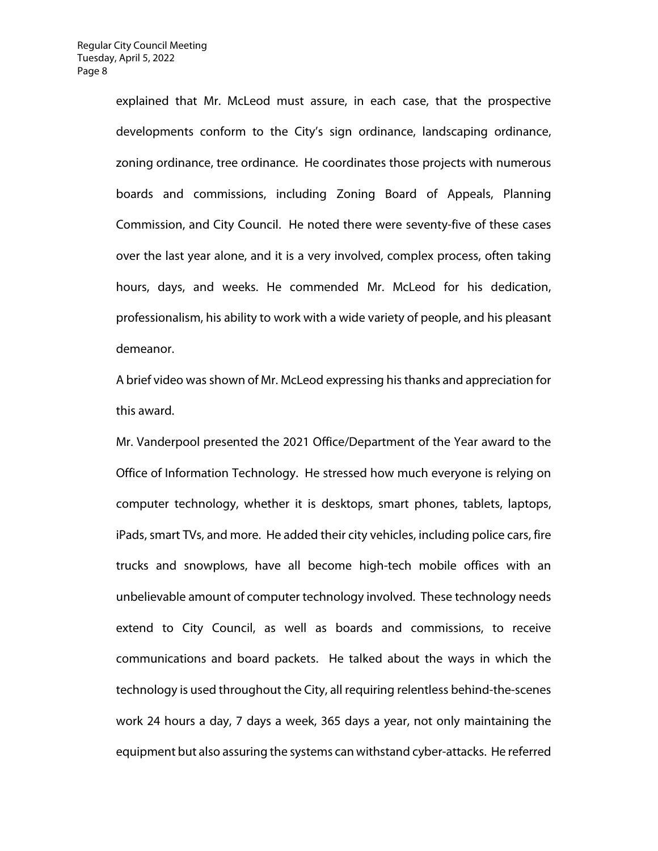explained that Mr. McLeod must assure, in each case, that the prospective developments conform to the City's sign ordinance, landscaping ordinance, zoning ordinance, tree ordinance. He coordinates those projects with numerous boards and commissions, including Zoning Board of Appeals, Planning Commission, and City Council. He noted there were seventy-five of these cases over the last year alone, and it is a very involved, complex process, often taking hours, days, and weeks. He commended Mr. McLeod for his dedication, professionalism, his ability to work with a wide variety of people, and his pleasant demeanor.

A brief video was shown of Mr. McLeod expressing his thanks and appreciation for this award.

Mr. Vanderpool presented the 2021 Office/Department of the Year award to the Office of Information Technology. He stressed how much everyone is relying on computer technology, whether it is desktops, smart phones, tablets, laptops, iPads, smart TVs, and more. He added their city vehicles, including police cars, fire trucks and snowplows, have all become high-tech mobile offices with an unbelievable amount of computer technology involved. These technology needs extend to City Council, as well as boards and commissions, to receive communications and board packets. He talked about the ways in which the technology is used throughout the City, all requiring relentless behind-the-scenes work 24 hours a day, 7 days a week, 365 days a year, not only maintaining the equipment but also assuring the systems can withstand cyber-attacks. He referred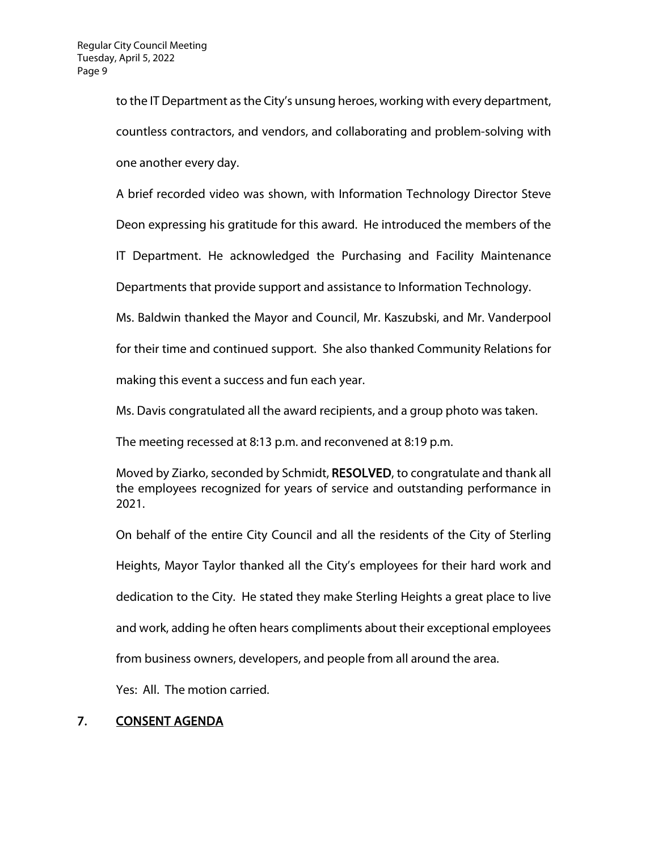to the IT Department as the City's unsung heroes, working with every department, countless contractors, and vendors, and collaborating and problem-solving with one another every day.

A brief recorded video was shown, with Information Technology Director Steve

Deon expressing his gratitude for this award. He introduced the members of the

IT Department. He acknowledged the Purchasing and Facility Maintenance

Departments that provide support and assistance to Information Technology.

Ms. Baldwin thanked the Mayor and Council, Mr. Kaszubski, and Mr. Vanderpool

for their time and continued support. She also thanked Community Relations for

making this event a success and fun each year.

Ms. Davis congratulated all the award recipients, and a group photo was taken.

The meeting recessed at 8:13 p.m. and reconvened at 8:19 p.m.

Moved by Ziarko, seconded by Schmidt, RESOLVED, to congratulate and thank all the employees recognized for years of service and outstanding performance in 2021.

On behalf of the entire City Council and all the residents of the City of Sterling Heights, Mayor Taylor thanked all the City's employees for their hard work and dedication to the City. He stated they make Sterling Heights a great place to live and work, adding he often hears compliments about their exceptional employees from business owners, developers, and people from all around the area.

Yes: All. The motion carried.

# 7. CONSENT AGENDA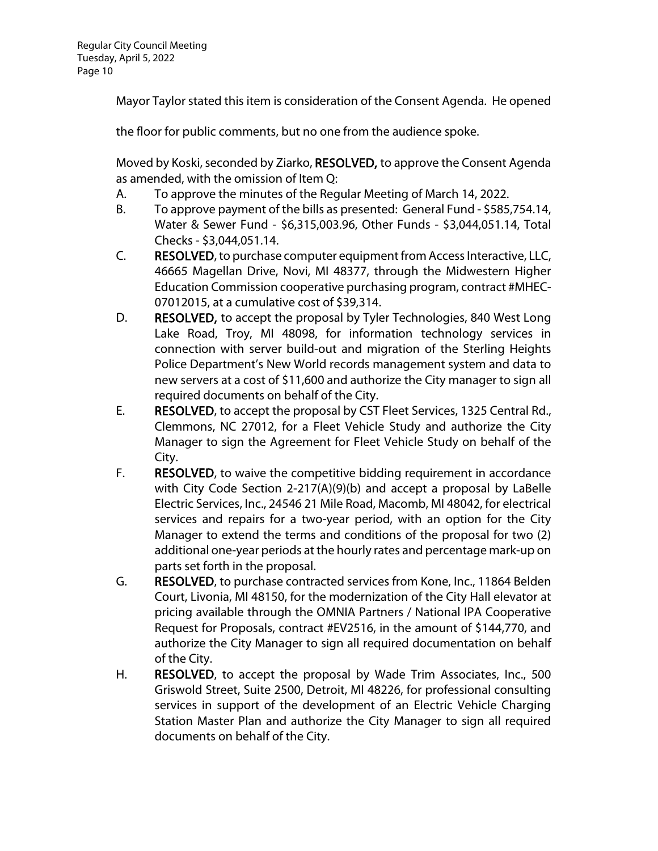Mayor Taylor stated this item is consideration of the Consent Agenda. He opened

the floor for public comments, but no one from the audience spoke.

Moved by Koski, seconded by Ziarko, RESOLVED, to approve the Consent Agenda as amended, with the omission of Item Q:

- A. To approve the minutes of the Regular Meeting of March 14, 2022.
- B. To approve payment of the bills as presented: General Fund \$585,754.14, Water & Sewer Fund - \$6,315,003.96, Other Funds - \$3,044,051.14, Total Checks - \$3,044,051.14.
- C. RESOLVED, to purchase computer equipment from Access Interactive, LLC, 46665 Magellan Drive, Novi, MI 48377, through the Midwestern Higher Education Commission cooperative purchasing program, contract #MHEC-07012015, at a cumulative cost of \$39,314.
- D. RESOLVED, to accept the proposal by Tyler Technologies, 840 West Long Lake Road, Troy, MI 48098, for information technology services in connection with server build-out and migration of the Sterling Heights Police Department's New World records management system and data to new servers at a cost of \$11,600 and authorize the City manager to sign all required documents on behalf of the City.
- E. RESOLVED, to accept the proposal by CST Fleet Services, 1325 Central Rd., Clemmons, NC 27012, for a Fleet Vehicle Study and authorize the City Manager to sign the Agreement for Fleet Vehicle Study on behalf of the City.
- F. RESOLVED, to waive the competitive bidding requirement in accordance with City Code Section 2-217(A)(9)(b) and accept a proposal by LaBelle Electric Services, Inc., 24546 21 Mile Road, Macomb, MI 48042, for electrical services and repairs for a two-year period, with an option for the City Manager to extend the terms and conditions of the proposal for two (2) additional one-year periods at the hourly rates and percentage mark-up on parts set forth in the proposal.
- G. RESOLVED, to purchase contracted services from Kone, Inc., 11864 Belden Court, Livonia, MI 48150, for the modernization of the City Hall elevator at pricing available through the OMNIA Partners / National IPA Cooperative Request for Proposals, contract #EV2516, in the amount of \$144,770, and authorize the City Manager to sign all required documentation on behalf of the City.
- H. RESOLVED, to accept the proposal by Wade Trim Associates, Inc., 500 Griswold Street, Suite 2500, Detroit, MI 48226, for professional consulting services in support of the development of an Electric Vehicle Charging Station Master Plan and authorize the City Manager to sign all required documents on behalf of the City.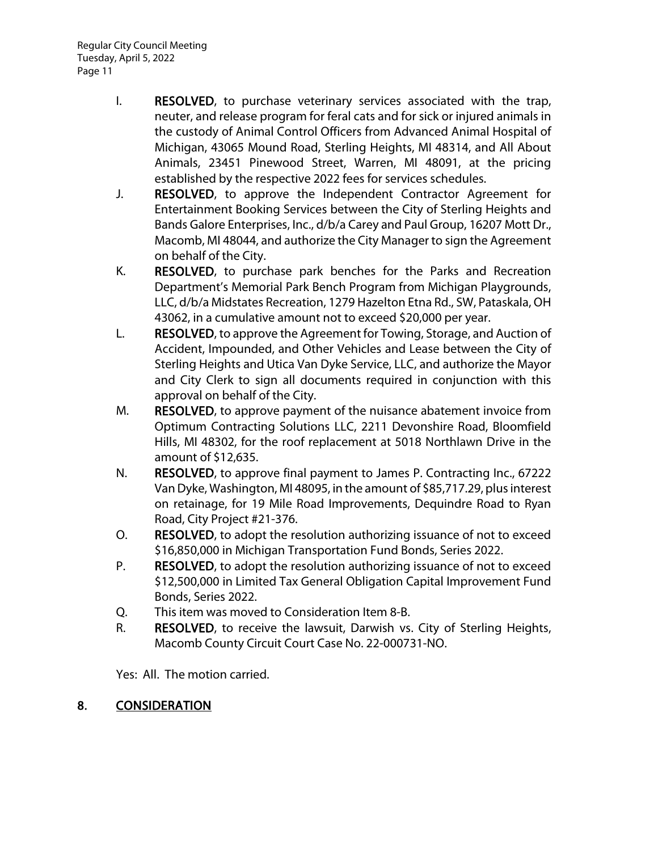- I. RESOLVED, to purchase veterinary services associated with the trap, neuter, and release program for feral cats and for sick or injured animals in the custody of Animal Control Officers from Advanced Animal Hospital of Michigan, 43065 Mound Road, Sterling Heights, MI 48314, and All About Animals, 23451 Pinewood Street, Warren, MI 48091, at the pricing established by the respective 2022 fees for services schedules.
- J. RESOLVED, to approve the Independent Contractor Agreement for Entertainment Booking Services between the City of Sterling Heights and Bands Galore Enterprises, Inc., d/b/a Carey and Paul Group, 16207 Mott Dr., Macomb, MI 48044, and authorize the City Manager to sign the Agreement on behalf of the City.
- K. RESOLVED, to purchase park benches for the Parks and Recreation Department's Memorial Park Bench Program from Michigan Playgrounds, LLC, d/b/a Midstates Recreation, 1279 Hazelton Etna Rd., SW, Pataskala, OH 43062, in a cumulative amount not to exceed \$20,000 per year.
- L. RESOLVED, to approve the Agreement for Towing, Storage, and Auction of Accident, Impounded, and Other Vehicles and Lease between the City of Sterling Heights and Utica Van Dyke Service, LLC, and authorize the Mayor and City Clerk to sign all documents required in conjunction with this approval on behalf of the City.
- M. RESOLVED, to approve payment of the nuisance abatement invoice from Optimum Contracting Solutions LLC, 2211 Devonshire Road, Bloomfield Hills, MI 48302, for the roof replacement at 5018 Northlawn Drive in the amount of \$12,635.
- N. RESOLVED, to approve final payment to James P. Contracting Inc., 67222 Van Dyke, Washington, MI 48095, in the amount of \$85,717.29, plus interest on retainage, for 19 Mile Road Improvements, Dequindre Road to Ryan Road, City Project #21-376.
- O. RESOLVED, to adopt the resolution authorizing issuance of not to exceed \$16,850,000 in Michigan Transportation Fund Bonds, Series 2022.
- P. RESOLVED, to adopt the resolution authorizing issuance of not to exceed \$12,500,000 in Limited Tax General Obligation Capital Improvement Fund Bonds, Series 2022.
- Q. This item was moved to Consideration Item 8-B.
- R. RESOLVED, to receive the lawsuit, Darwish vs. City of Sterling Heights, Macomb County Circuit Court Case No. 22-000731-NO.

Yes: All. The motion carried.

# 8. CONSIDERATION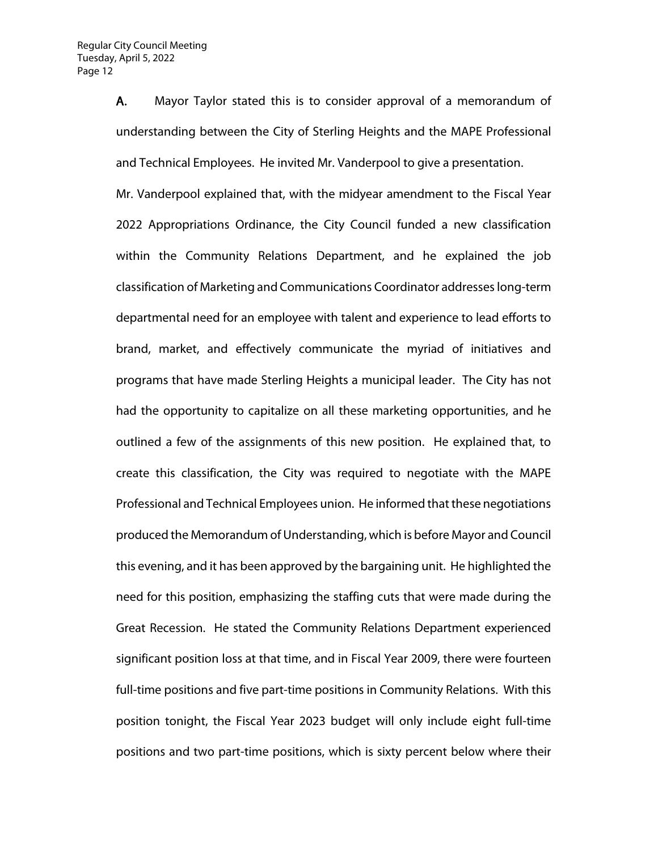A. Mayor Taylor stated this is to consider approval of a memorandum of understanding between the City of Sterling Heights and the MAPE Professional and Technical Employees. He invited Mr. Vanderpool to give a presentation.

Mr. Vanderpool explained that, with the midyear amendment to the Fiscal Year 2022 Appropriations Ordinance, the City Council funded a new classification within the Community Relations Department, and he explained the job classification of Marketing and Communications Coordinator addresses long-term departmental need for an employee with talent and experience to lead efforts to brand, market, and effectively communicate the myriad of initiatives and programs that have made Sterling Heights a municipal leader. The City has not had the opportunity to capitalize on all these marketing opportunities, and he outlined a few of the assignments of this new position. He explained that, to create this classification, the City was required to negotiate with the MAPE Professional and Technical Employees union. He informed that these negotiations produced the Memorandum of Understanding, which is before Mayor and Council this evening, and it has been approved by the bargaining unit. He highlighted the need for this position, emphasizing the staffing cuts that were made during the Great Recession. He stated the Community Relations Department experienced significant position loss at that time, and in Fiscal Year 2009, there were fourteen full-time positions and five part-time positions in Community Relations. With this position tonight, the Fiscal Year 2023 budget will only include eight full-time positions and two part-time positions, which is sixty percent below where their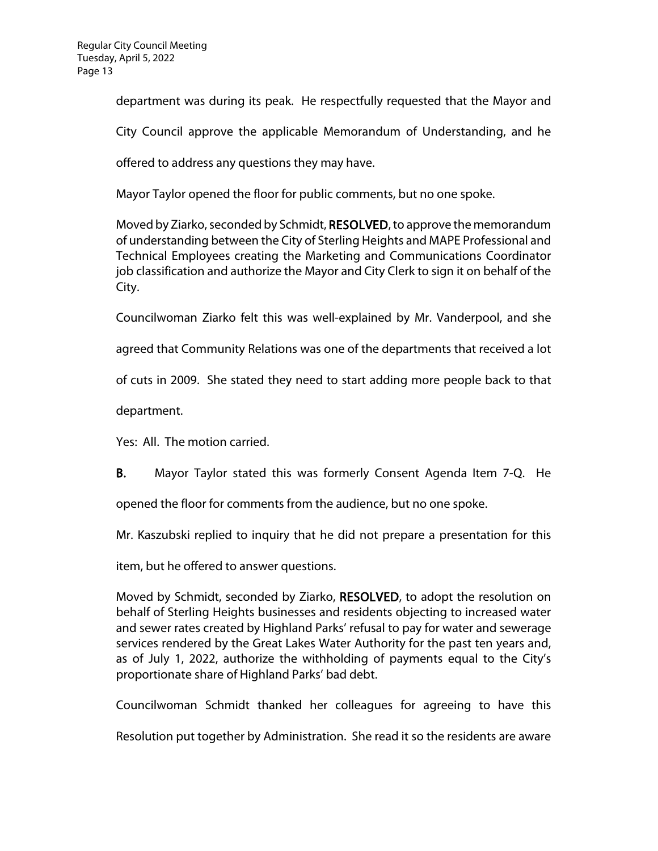department was during its peak. He respectfully requested that the Mayor and

City Council approve the applicable Memorandum of Understanding, and he

offered to address any questions they may have.

Mayor Taylor opened the floor for public comments, but no one spoke.

Moved by Ziarko, seconded by Schmidt, RESOLVED, to approve the memorandum of understanding between the City of Sterling Heights and MAPE Professional and Technical Employees creating the Marketing and Communications Coordinator job classification and authorize the Mayor and City Clerk to sign it on behalf of the City.

Councilwoman Ziarko felt this was well-explained by Mr. Vanderpool, and she

agreed that Community Relations was one of the departments that received a lot

of cuts in 2009. She stated they need to start adding more people back to that

department.

Yes: All. The motion carried.

B. Mayor Taylor stated this was formerly Consent Agenda Item 7-Q. He

opened the floor for comments from the audience, but no one spoke.

Mr. Kaszubski replied to inquiry that he did not prepare a presentation for this

item, but he offered to answer questions.

Moved by Schmidt, seconded by Ziarko, RESOLVED, to adopt the resolution on behalf of Sterling Heights businesses and residents objecting to increased water and sewer rates created by Highland Parks' refusal to pay for water and sewerage services rendered by the Great Lakes Water Authority for the past ten years and, as of July 1, 2022, authorize the withholding of payments equal to the City's proportionate share of Highland Parks' bad debt.

Councilwoman Schmidt thanked her colleagues for agreeing to have this

Resolution put together by Administration. She read it so the residents are aware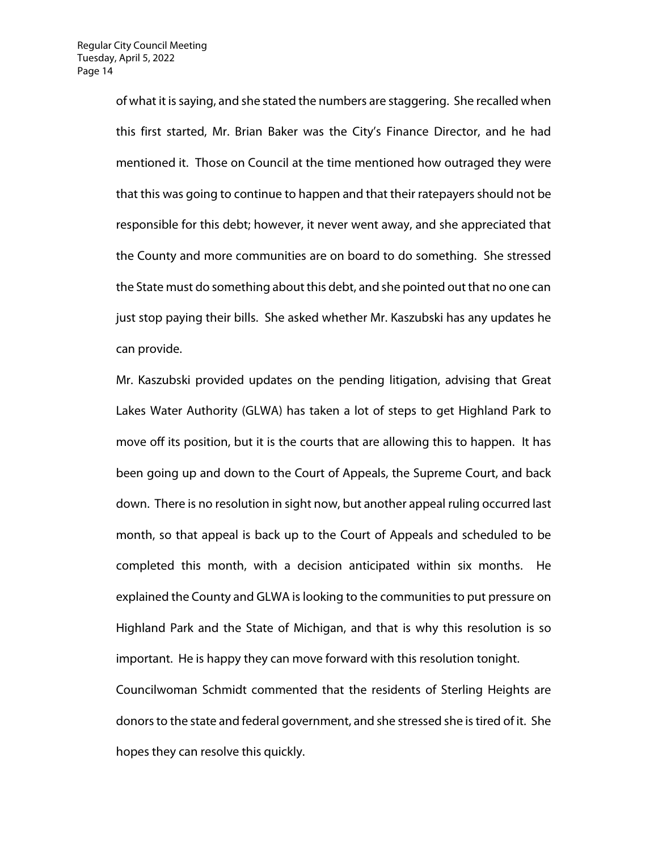of what it is saying, and she stated the numbers are staggering. She recalled when this first started, Mr. Brian Baker was the City's Finance Director, and he had mentioned it. Those on Council at the time mentioned how outraged they were that this was going to continue to happen and that their ratepayers should not be responsible for this debt; however, it never went away, and she appreciated that the County and more communities are on board to do something. She stressed the State must do something about this debt, and she pointed out that no one can just stop paying their bills. She asked whether Mr. Kaszubski has any updates he can provide.

Mr. Kaszubski provided updates on the pending litigation, advising that Great Lakes Water Authority (GLWA) has taken a lot of steps to get Highland Park to move off its position, but it is the courts that are allowing this to happen. It has been going up and down to the Court of Appeals, the Supreme Court, and back down. There is no resolution in sight now, but another appeal ruling occurred last month, so that appeal is back up to the Court of Appeals and scheduled to be completed this month, with a decision anticipated within six months. He explained the County and GLWA is looking to the communities to put pressure on Highland Park and the State of Michigan, and that is why this resolution is so important. He is happy they can move forward with this resolution tonight. Councilwoman Schmidt commented that the residents of Sterling Heights are donors to the state and federal government, and she stressed she is tired of it. She hopes they can resolve this quickly.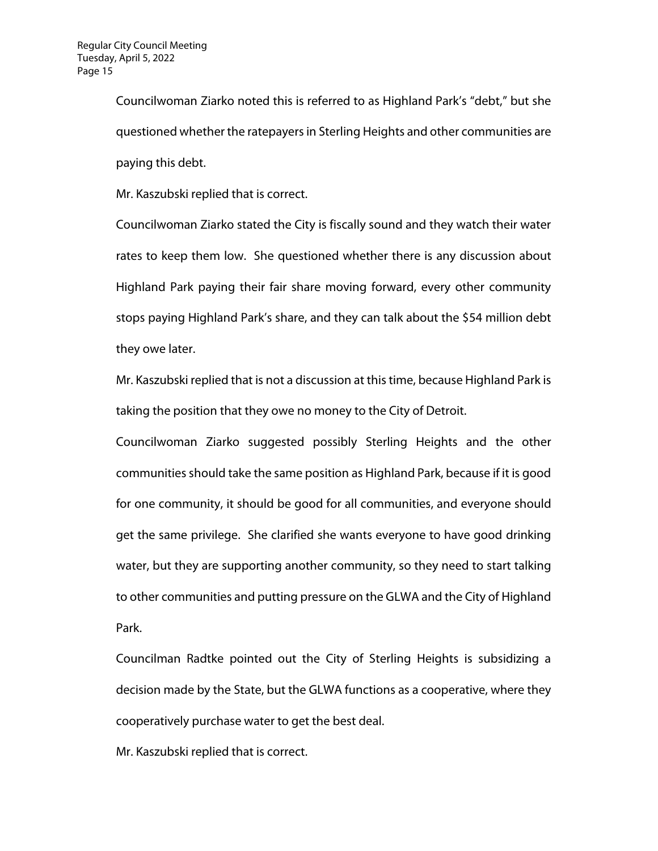Councilwoman Ziarko noted this is referred to as Highland Park's "debt," but she questioned whether the ratepayers in Sterling Heights and other communities are paying this debt.

Mr. Kaszubski replied that is correct.

Councilwoman Ziarko stated the City is fiscally sound and they watch their water rates to keep them low. She questioned whether there is any discussion about Highland Park paying their fair share moving forward, every other community stops paying Highland Park's share, and they can talk about the \$54 million debt they owe later.

Mr. Kaszubski replied that is not a discussion at this time, because Highland Park is taking the position that they owe no money to the City of Detroit.

Councilwoman Ziarko suggested possibly Sterling Heights and the other communities should take the same position as Highland Park, because if it is good for one community, it should be good for all communities, and everyone should get the same privilege. She clarified she wants everyone to have good drinking water, but they are supporting another community, so they need to start talking to other communities and putting pressure on the GLWA and the City of Highland Park.

Councilman Radtke pointed out the City of Sterling Heights is subsidizing a decision made by the State, but the GLWA functions as a cooperative, where they cooperatively purchase water to get the best deal.

Mr. Kaszubski replied that is correct.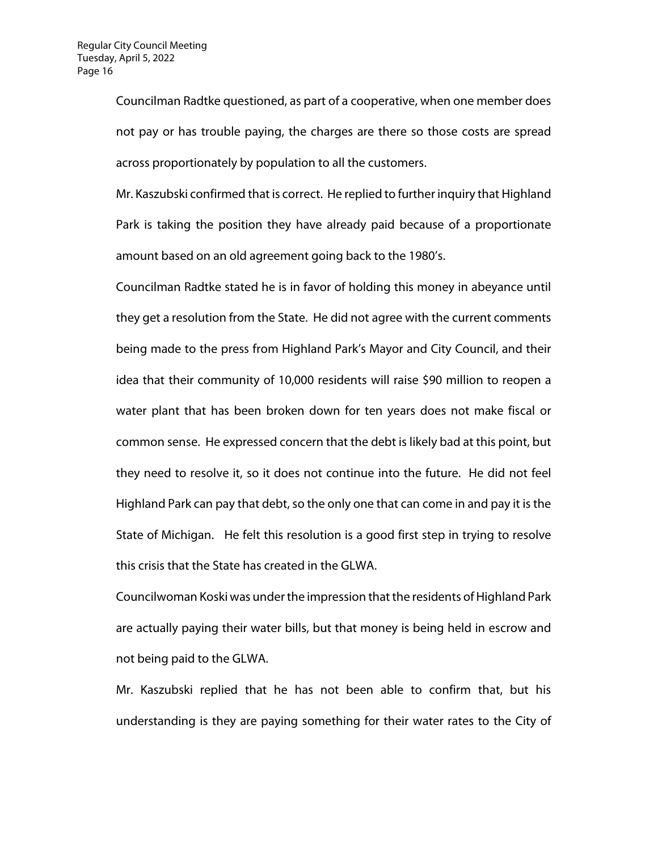Councilman Radtke questioned, as part of a cooperative, when one member does not pay or has trouble paying, the charges are there so those costs are spread across proportionately by population to all the customers.

Mr. Kaszubski confirmed that is correct. He replied to further inquiry that Highland Park is taking the position they have already paid because of a proportionate amount based on an old agreement going back to the 1980's.

Councilman Radtke stated he is in favor of holding this money in abeyance until they get a resolution from the State. He did not agree with the current comments being made to the press from Highland Park's Mayor and City Council, and their idea that their community of 10,000 residents will raise \$90 million to reopen a water plant that has been broken down for ten years does not make fiscal or common sense. He expressed concern that the debt is likely bad at this point, but they need to resolve it, so it does not continue into the future. He did not feel Highland Park can pay that debt, so the only one that can come in and pay it is the State of Michigan. He felt this resolution is a good first step in trying to resolve this crisis that the State has created in the GLWA.

Councilwoman Koski was under the impression that the residents of Highland Park are actually paying their water bills, but that money is being held in escrow and not being paid to the GLWA.

Mr. Kaszubski replied that he has not been able to confirm that, but his understanding is they are paying something for their water rates to the City of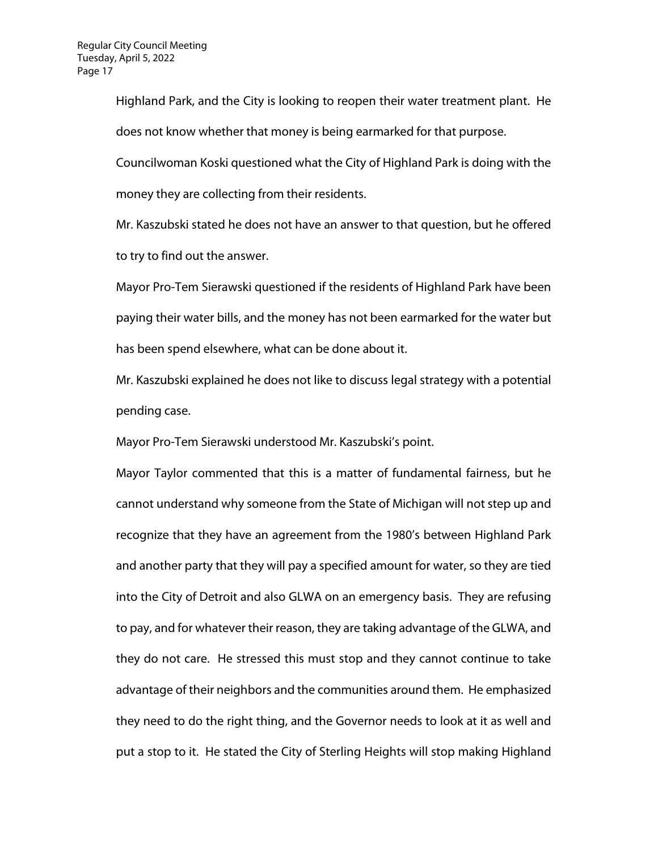Highland Park, and the City is looking to reopen their water treatment plant. He does not know whether that money is being earmarked for that purpose.

Councilwoman Koski questioned what the City of Highland Park is doing with the money they are collecting from their residents.

Mr. Kaszubski stated he does not have an answer to that question, but he offered to try to find out the answer.

Mayor Pro-Tem Sierawski questioned if the residents of Highland Park have been paying their water bills, and the money has not been earmarked for the water but has been spend elsewhere, what can be done about it.

Mr. Kaszubski explained he does not like to discuss legal strategy with a potential pending case.

Mayor Pro-Tem Sierawski understood Mr. Kaszubski's point.

Mayor Taylor commented that this is a matter of fundamental fairness, but he cannot understand why someone from the State of Michigan will not step up and recognize that they have an agreement from the 1980's between Highland Park and another party that they will pay a specified amount for water, so they are tied into the City of Detroit and also GLWA on an emergency basis. They are refusing to pay, and for whatever their reason, they are taking advantage of the GLWA, and they do not care. He stressed this must stop and they cannot continue to take advantage of their neighbors and the communities around them. He emphasized they need to do the right thing, and the Governor needs to look at it as well and put a stop to it. He stated the City of Sterling Heights will stop making Highland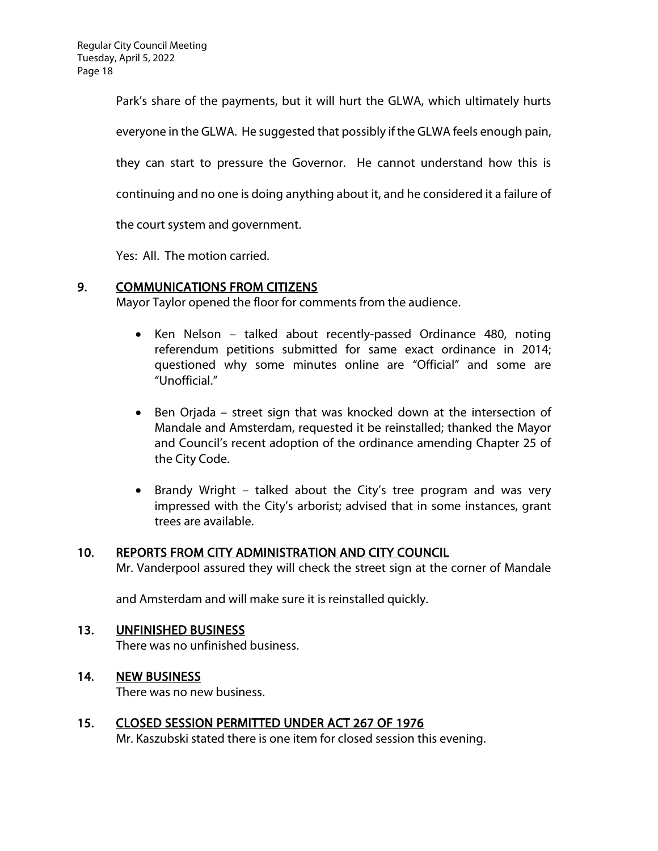Park's share of the payments, but it will hurt the GLWA, which ultimately hurts everyone in the GLWA. He suggested that possibly if the GLWA feels enough pain, they can start to pressure the Governor. He cannot understand how this is continuing and no one is doing anything about it, and he considered it a failure of the court system and government.

Yes: All. The motion carried.

# 9. COMMUNICATIONS FROM CITIZENS

Mayor Taylor opened the floor for comments from the audience.

- Ken Nelson talked about recently-passed Ordinance 480, noting referendum petitions submitted for same exact ordinance in 2014; questioned why some minutes online are "Official" and some are "Unofficial."
- Ben Orjada street sign that was knocked down at the intersection of Mandale and Amsterdam, requested it be reinstalled; thanked the Mayor and Council's recent adoption of the ordinance amending Chapter 25 of the City Code.
- Brandy Wright talked about the City's tree program and was very impressed with the City's arborist; advised that in some instances, grant trees are available.

### 10. REPORTS FROM CITY ADMINISTRATION AND CITY COUNCIL

Mr. Vanderpool assured they will check the street sign at the corner of Mandale

and Amsterdam and will make sure it is reinstalled quickly.

### 13. UNFINISHED BUSINESS

There was no unfinished business.

### 14. NEW BUSINESS

There was no new business.

# 15. CLOSED SESSION PERMITTED UNDER ACT 267 OF 1976

Mr. Kaszubski stated there is one item for closed session this evening.